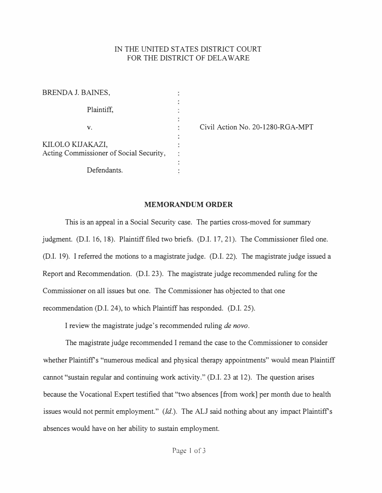## IN THE UNITED STATES DISTRJCT COURT FOR THE DISTRICT OF DELAWARE

| <b>BRENDA J. BAINES,</b>                |  |
|-----------------------------------------|--|
| Plaintiff,                              |  |
| V.                                      |  |
| KILOLO KIJAKAZI,                        |  |
| Acting Commissioner of Social Security, |  |
| Defendants.                             |  |

Civil Action No. 20-1280-RGA-MPT

## **MEMORANDUM ORDER**

This is an appeal in a Social Security case. The parties cross-moved for summary judgment. (D.I. 16, 18). Plaintiff filed two briefs. (D.I. 17, 21). The Commissioner filed one. (D.I. 19). I referred the motions to a magistrate judge. (D.I. 22). The magistrate judge issued a Report and Recommendation. (D.I. 23). The magistrate judge recommended ruling for the Commissioner on all issues but one. The Commissioner has objected to that one recommendation (D.I. 24), to which Plaintiff has responded. (D.I. 25).

I review the magistrate judge's recommended ruling *de nova.*

The magistrate judge recommended I remand the case to the Commissioner to consider whether Plaintiff's "numerous medical and physical therapy appointments" would mean Plaintiff cannot "sustain regular and continuing work activity." (D.I. 23 at 12). The question arises because the Vocational Expert testified that "two absences [from work] per month due to health issues would not permit employment." *(Id.)*. The ALJ said nothing about any impact Plaintiff's absences would have on her ability to sustain employment.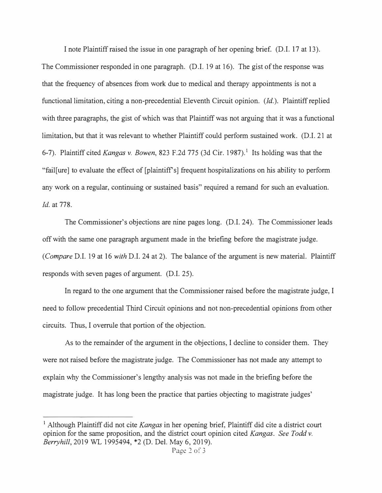I note Plaintiff raised the issue in one paragraph of her opening brief. (D.I. 17 at 13). The Commissioner responded in one paragraph. (D.I. 19 at 16). The gist of the response was that the frequency of absences from work due to medical and therapy appointments is not a functional limitation, citing a non-precedential Eleventh Circuit opinion. *(Id.).* Plaintiff replied with three paragraphs, the gist of which was that Plaintiff was not arguing that it was a functional limitation, but that it was relevant to whether Plaintiff could perform sustained work. (D.I. 21 at 6-7). Plaintiff cited *Kangas v. Bowen*, 823 F.2d 775 (3d Cir. 1987).<sup>1</sup> Its holding was that the "fail[ure] to evaluate the effect of [plaintiffs] frequent hospitalizations on his ability to perform any work on a regular, continuing or sustained basis" required a remand for such an evaluation. *Id.* at 778.

The Commissioner's objections are nine pages long. (D.I. 24). The Commissioner leads off with the same one paragraph argument made in the briefing before the magistrate judge. *(Compare* D.I. 19 at 16 *with* D.I. 24 at 2). The balance of the argument is new material. Plaintiff responds with seven pages of argument. (D.I. 25).

In regard to the one argument that the Commissioner raised before the magistrate judge, I need to follow precedential Third Circuit opinions and not non-precedential opinions from other circuits. Thus, I overrule that portion of the objection.

As to the remainder of the argument in the objections, I decline to consider them. They were not raised before the magistrate judge. The Commissioner has not made any attempt to explain why the Commissioner's lengthy analysis was not made in the briefing before the magistrate judge. It has long been the practice that parties objecting to magistrate judges'

<sup>1</sup>Although Plaintiff did not cite *Kangas* in her opening brief, Plaintiff did cite a district court opinion for the same proposition, and the district court opinion cited *Kangas. See Todd v. Berryhill,* 2019 WL 1995494, \*2 (D. Del. May 6, 2019).